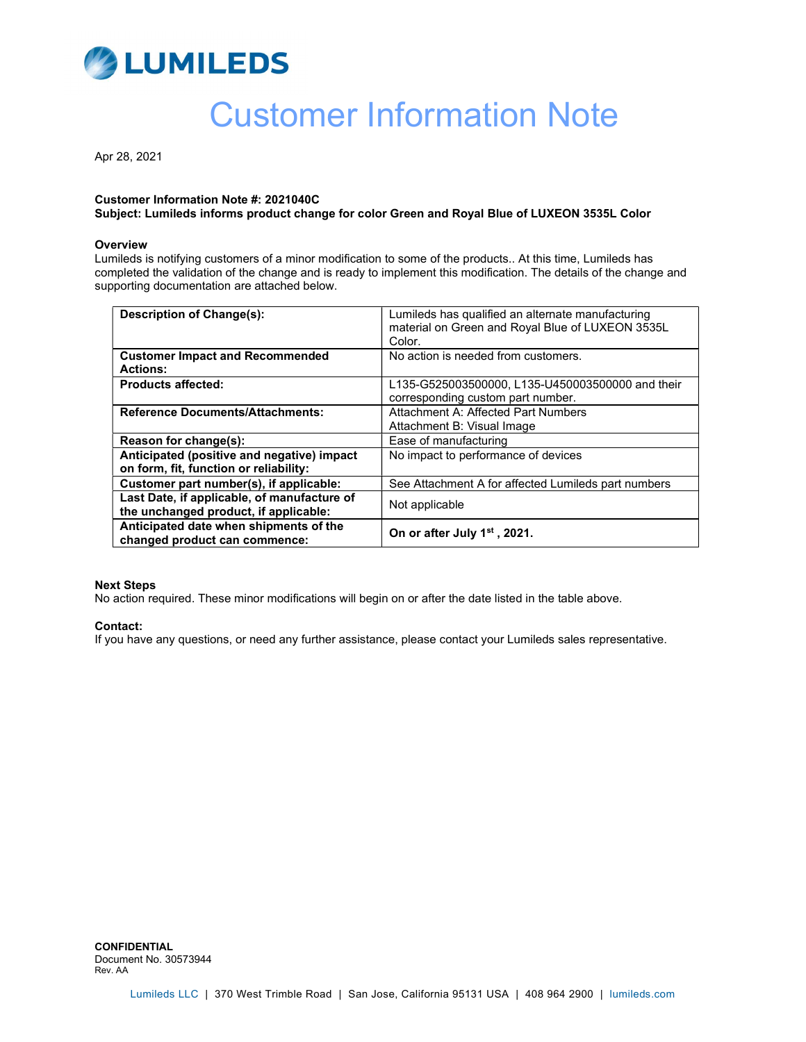

# Customer Information Note

Apr 28, 2021

#### Customer Information Note #: 2021040C

Subject: Lumileds informs product change for color Green and Royal Blue of LUXEON 3535L Color

#### **Overview**

Lumileds is notifying customers of a minor modification to some of the products.. At this time, Lumileds has completed the validation of the change and is ready to implement this modification. The details of the change and supporting documentation are attached below.

| <b>Description of Change(s):</b>                                                     | Lumileds has qualified an alternate manufacturing<br>material on Green and Royal Blue of LUXEON 3535L<br>Color. |  |
|--------------------------------------------------------------------------------------|-----------------------------------------------------------------------------------------------------------------|--|
| <b>Customer Impact and Recommended</b><br><b>Actions:</b>                            | No action is needed from customers.                                                                             |  |
| <b>Products affected:</b>                                                            | L135-G525003500000, L135-U450003500000 and their<br>corresponding custom part number.                           |  |
| <b>Reference Documents/Attachments:</b>                                              | Attachment A: Affected Part Numbers<br>Attachment B: Visual Image                                               |  |
| Reason for change(s):                                                                | Ease of manufacturing                                                                                           |  |
| Anticipated (positive and negative) impact<br>on form, fit, function or reliability: | No impact to performance of devices                                                                             |  |
| Customer part number(s), if applicable:                                              | See Attachment A for affected Lumileds part numbers                                                             |  |
| Last Date, if applicable, of manufacture of<br>the unchanged product, if applicable: | Not applicable                                                                                                  |  |
| Anticipated date when shipments of the<br>changed product can commence:              | On or after July 1 <sup>st</sup> , 2021.                                                                        |  |

#### Next Steps

No action required. These minor modifications will begin on or after the date listed in the table above.

#### Contact:

If you have any questions, or need any further assistance, please contact your Lumileds sales representative.